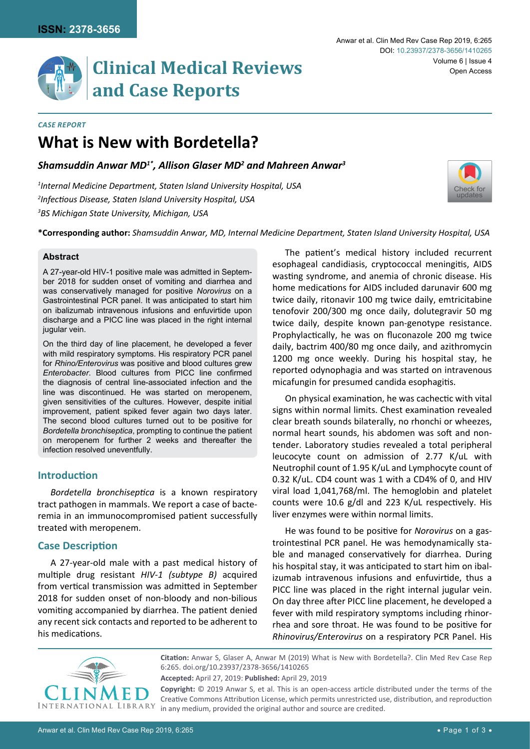

# **Clinical Medical Reviews and Case Reports**

#### *Case Report*

# **What is New with Bordetella?**

*Shamsuddin Anwar MD1\*, Allison Glaser MD2 and Mahreen Anwar3*

*1 Internal Medicine Department, Staten Island University Hospital, USA 2 Infectious Disease, Staten Island University Hospital, USA 3 BS Michigan State University, Michigan, USA*



**\*Corresponding author:** *Shamsuddin Anwar, MD, Internal Medicine Department, Staten Island University Hospital, USA*

### **Abstract**

A 27-year-old HIV-1 positive male was admitted in September 2018 for sudden onset of vomiting and diarrhea and was conservatively managed for positive *Norovirus* on a Gastrointestinal PCR panel. It was anticipated to start him on ibalizumab intravenous infusions and enfuvirtide upon discharge and a PICC line was placed in the right internal jugular vein.

On the third day of line placement, he developed a fever with mild respiratory symptoms. His respiratory PCR panel for *Rhino/Enterovirus* was positive and blood cultures grew *Enterobacter*. Blood cultures from PICC line confirmed the diagnosis of central line-associated infection and the line was discontinued. He was started on meropenem, given sensitivities of the cultures. However, despite initial improvement, patient spiked fever again two days later. The second blood cultures turned out to be positive for *Bordetella bronchiseptica*, prompting to continue the patient on meropenem for further 2 weeks and thereafter the infection resolved uneventfully.

# **Introduction**

*Bordetella bronchiseptica* is a known respiratory tract pathogen in mammals. We report a case of bacteremia in an immunocompromised patient successfully treated with meropenem.

# **Case Description**

A 27-year-old male with a past medical history of multiple drug resistant *HIV-1 (subtype B)* acquired from vertical transmission was admitted in September 2018 for sudden onset of non-bloody and non-bilious vomiting accompanied by diarrhea. The patient denied any recent sick contacts and reported to be adherent to his medications.

The patient's medical history included recurrent esophageal candidiasis, cryptococcal meningitis, AIDS wasting syndrome, and anemia of chronic disease. His home medications for AIDS included darunavir 600 mg twice daily, ritonavir 100 mg twice daily, emtricitabine tenofovir 200/300 mg once daily, dolutegravir 50 mg twice daily, despite known pan-genotype resistance. Prophylactically, he was on fluconazole 200 mg twice daily, bactrim 400/80 mg once daily, and azithromycin 1200 mg once weekly. During his hospital stay, he reported odynophagia and was started on intravenous micafungin for presumed candida esophagitis.

On physical examination, he was cachectic with vital signs within normal limits. Chest examination revealed clear breath sounds bilaterally, no rhonchi or wheezes, normal heart sounds, his abdomen was soft and nontender. Laboratory studies revealed a total peripheral leucocyte count on admission of 2.77 K/uL with Neutrophil count of 1.95 K/uL and Lymphocyte count of 0.32 K/uL. CD4 count was 1 with a CD4% of 0, and HIV viral load 1,041,768/ml. The hemoglobin and platelet counts were 10.6 g/dl and 223 K/uL respectively. His liver enzymes were within normal limits.

He was found to be positive for *Norovirus* on a gastrointestinal PCR panel. He was hemodynamically stable and managed conservatively for diarrhea. During his hospital stay, it was anticipated to start him on ibalizumab intravenous infusions and enfuvirtide, thus a PICC line was placed in the right internal jugular vein. On day three after PICC line placement, he developed a fever with mild respiratory symptoms including rhinorrhea and sore throat. He was found to be positive for *Rhinovirus/Enterovirus* on a respiratory PCR Panel. His



**Citation:** Anwar S, Glaser A, Anwar M (2019) What is New with Bordetella?. Clin Med Rev Case Rep 6:265. [doi.org/10.23937/2378-3656/1410265](https://doi.org/10.23937/2378-3656/1410265)

**Copyright:** © 2019 Anwar S, et al. This is an open-access article distributed under the terms of the Creative Commons Attribution License, which permits unrestricted use, distribution, and reproduction in any medium, provided the original author and source are credited.

**Accepted:** April 27, 2019: **Published:** April 29, 2019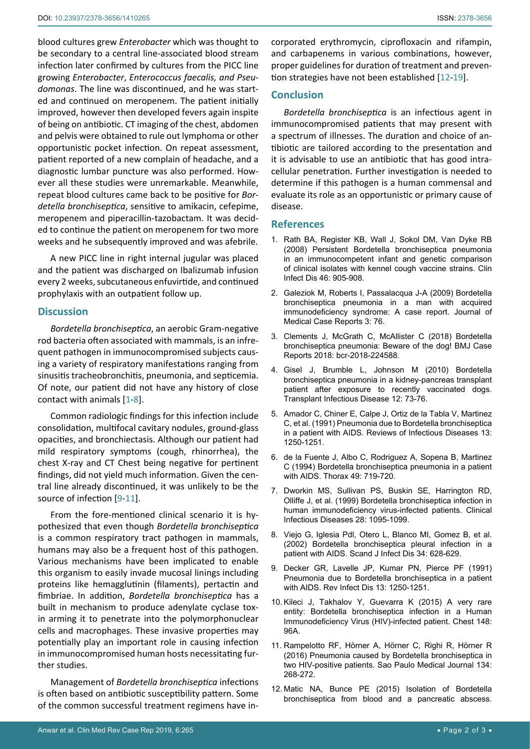blood cultures grew *Enterobacter* which was thought to be secondary to a central line-associated blood stream infection later confirmed by cultures from the PICC line growing *Enterobacter*, *Enterococcus faecalis, and Pseudomonas*. The line was discontinued, and he was started and continued on meropenem. The patient initially improved, however then developed fevers again inspite of being on antibiotic. CT imaging of the chest, abdomen and pelvis were obtained to rule out lymphoma or other opportunistic pocket infection. On repeat assessment, patient reported of a new complain of headache, and a diagnostic lumbar puncture was also performed. However all these studies were unremarkable. Meanwhile, repeat blood cultures came back to be positive for *Bordetella bronchiseptica*, sensitive to amikacin, cefepime, meropenem and piperacillin-tazobactam. It was decided to continue the patient on meropenem for two more weeks and he subsequently improved and was afebrile.

A new PICC line in right internal jugular was placed and the patient was discharged on Ibalizumab infusion every 2 weeks, subcutaneous enfuvirtide, and continued prophylaxis with an outpatient follow up.

#### **Discussion**

*Bordetella bronchiseptica*, an aerobic Gram-negative rod bacteria often associated with mammals, is an infrequent pathogen in immunocompromised subjects causing a variety of respiratory manifestations ranging from sinusitis tracheobronchitis, pneumonia, and septicemia. Of note, our patient did not have any history of close contact with animals [[1-](#page-1-1)[8\]](#page-1-2).

Common radiologic findings for this infection include consolidation, multifocal cavitary nodules, ground-glass opacities, and bronchiectasis. Although our patient had mild respiratory symptoms (cough, rhinorrhea), the chest X-ray and CT Chest being negative for pertinent findings, did not yield much information. Given the central line already discontinued, it was unlikely to be the source of infection [[9](#page-1-3)-[11\]](#page-1-4).

From the fore-mentioned clinical scenario it is hypothesized that even though *Bordetella bronchiseptica* is a common respiratory tract pathogen in mammals, humans may also be a frequent host of this pathogen. Various mechanisms have been implicated to enable this organism to easily invade mucosal linings including proteins like hemagglutinin (filaments), pertactin and fimbriae. In addition, *Bordetella bronchiseptica* has a built in mechanism to produce adenylate cyclase toxin arming it to penetrate into the polymorphonuclear cells and macrophages. These invasive properties may potentially play an important role in causing infection in immunocompromised human hosts necessitating further studies.

Management of *Bordetella bronchiseptica* infections is often based on antibiotic susceptibility pattern. Some of the common successful treatment regimens have in-

corporated erythromycin, ciprofloxacin and rifampin, and carbapenems in various combinations, however, proper guidelines for duration of treatment and prevention strategies have not been established [[12-](#page-1-0)[19](#page-2-0)].

# **Conclusion**

*Bordetella bronchiseptica* is an infectious agent in immunocompromised patients that may present with a spectrum of illnesses. The duration and choice of antibiotic are tailored according to the presentation and it is advisable to use an antibiotic that has good intracellular penetration. Further investigation is needed to determine if this pathogen is a human commensal and evaluate its role as an opportunistic or primary cause of disease.

#### **References**

- <span id="page-1-1"></span>1. [Rath BA, Register KB, Wall J, Sokol DM, Van Dyke RB](https://www.ncbi.nlm.nih.gov/pubmed/18260750)  [\(2008\) Persistent Bordetella bronchiseptica pneumonia](https://www.ncbi.nlm.nih.gov/pubmed/18260750)  [in an immunocompetent infant and genetic comparison](https://www.ncbi.nlm.nih.gov/pubmed/18260750)  [of clinical isolates with kennel cough vaccine strains. Clin](https://www.ncbi.nlm.nih.gov/pubmed/18260750)  [Infect Dis 46: 905-908.](https://www.ncbi.nlm.nih.gov/pubmed/18260750)
- 2. [Galeziok M, Roberts I, Passalacqua J-A \(2009\) Bordetella](https://jmedicalcasereports.biomedcentral.com/articles/10.1186/1752-1947-3-76)  [bronchiseptica pneumonia in a man with acquired](https://jmedicalcasereports.biomedcentral.com/articles/10.1186/1752-1947-3-76)  [immunodeficiency syndrome: A case report. Journal of](https://jmedicalcasereports.biomedcentral.com/articles/10.1186/1752-1947-3-76)  [Medical Case Reports 3: 76.](https://jmedicalcasereports.biomedcentral.com/articles/10.1186/1752-1947-3-76)
- 3. [Clements J, McGrath C, McAllister C \(2018\) Bordetella](https://casereports.bmj.com/content/2018/bcr-2018-224588)  [bronchiseptica pneumonia: Beware of the dog! BMJ Case](https://casereports.bmj.com/content/2018/bcr-2018-224588)  [Reports 2018: bcr-2018-224588.](https://casereports.bmj.com/content/2018/bcr-2018-224588)
- 4. [Gisel J, Brumble L, Johnson M \(2010\) Bordetella](https://www.ncbi.nlm.nih.gov/pubmed/19874567)  [bronchiseptica pneumonia in a kidney-pancreas transplant](https://www.ncbi.nlm.nih.gov/pubmed/19874567)  [patient after exposure to recently vaccinated dogs.](https://www.ncbi.nlm.nih.gov/pubmed/19874567)  [Transplant Infectious Disease 12: 73-76.](https://www.ncbi.nlm.nih.gov/pubmed/19874567)
- 5. [Amador C, Chiner E, Calpe J, Ortiz de la Tabla V, Martinez](https://academic.oup.com/cid/article-abstract/13/6/1250/310606?redirectedFrom=fulltext)  [C, et al. \(1991\) Pneumonia due to Bordetella bronchiseptica](https://academic.oup.com/cid/article-abstract/13/6/1250/310606?redirectedFrom=fulltext)  [in a patient with AIDS. Reviews of Infectious Diseases 13:](https://academic.oup.com/cid/article-abstract/13/6/1250/310606?redirectedFrom=fulltext)  [1250-1251.](https://academic.oup.com/cid/article-abstract/13/6/1250/310606?redirectedFrom=fulltext)
- 6. [de la Fuente J, Albo C, Rodriguez A, Sopena B, Martinez](https://www.ncbi.nlm.nih.gov/pubmed/8066571)  [C \(1994\) Bordetella bronchiseptica pneumonia in a patient](https://www.ncbi.nlm.nih.gov/pubmed/8066571)  [with AIDS. Thorax 49: 719-720.](https://www.ncbi.nlm.nih.gov/pubmed/8066571)
- 7. [Dworkin MS, Sullivan PS, Buskin SE, Harrington RD,](https://academic.oup.com/cid/article/28/5/1095/324378)  [Olliffe J, et al. \(1999\) Bordetella bronchiseptica infection in](https://academic.oup.com/cid/article/28/5/1095/324378)  [human immunodeficiency virus-infected patients. Clinical](https://academic.oup.com/cid/article/28/5/1095/324378)  [Infectious Diseases 28: 1095-1099.](https://academic.oup.com/cid/article/28/5/1095/324378)
- <span id="page-1-2"></span>8. [Viejo G, Iglesia Pdl, Otero L, Blanco MI, Gomez B, et al.](https://www.ncbi.nlm.nih.gov/pubmed/12238585)  [\(2002\) Bordetella bronchiseptica pleural infection in a](https://www.ncbi.nlm.nih.gov/pubmed/12238585)  [patient with AIDS. Scand J Infect Dis 34: 628-629.](https://www.ncbi.nlm.nih.gov/pubmed/12238585)
- <span id="page-1-3"></span>9. [Decker GR, Lavelle JP, Kumar PN, Pierce PF \(1991\)](https://www.ncbi.nlm.nih.gov/pubmed/1775865)  [Pneumonia due to Bordetella bronchiseptica in a patient](https://www.ncbi.nlm.nih.gov/pubmed/1775865)  [with AIDS. Rev Infect Dis 13: 1250-1251.](https://www.ncbi.nlm.nih.gov/pubmed/1775865)
- 10. [Kileci J, Takhalov Y, Guevarra K \(2015\) A very rare](https://journal.chestnet.org/article/S0012-3692(16)36005-6/fulltext)  [entity: Bordetella bronchiseptica infection in a Human](https://journal.chestnet.org/article/S0012-3692(16)36005-6/fulltext)  [Immunodeficiency Virus \(HIV\)-infected patient. Chest 148:](https://journal.chestnet.org/article/S0012-3692(16)36005-6/fulltext)  [96A.](https://journal.chestnet.org/article/S0012-3692(16)36005-6/fulltext)
- <span id="page-1-4"></span>11. [Rampelotto RF, Hörner A, Hörner C, Righi R, Hörner R](http://www.scielo.br/scielo.php?script=sci_arttext&pid=S1516-31802016000300268)  [\(2016\) Pneumonia caused by Bordetella bronchiseptica in](http://www.scielo.br/scielo.php?script=sci_arttext&pid=S1516-31802016000300268)  [two HIV-positive patients. Sao Paulo Medical Journal 134:](http://www.scielo.br/scielo.php?script=sci_arttext&pid=S1516-31802016000300268)  [268-272.](http://www.scielo.br/scielo.php?script=sci_arttext&pid=S1516-31802016000300268)
- <span id="page-1-0"></span>12. [Matic NA, Bunce PE \(2015\) Isolation of Bordetella](https://jcm.asm.org/content/53/5/1778)  [bronchiseptica from blood and a pancreatic abscess.](https://jcm.asm.org/content/53/5/1778)